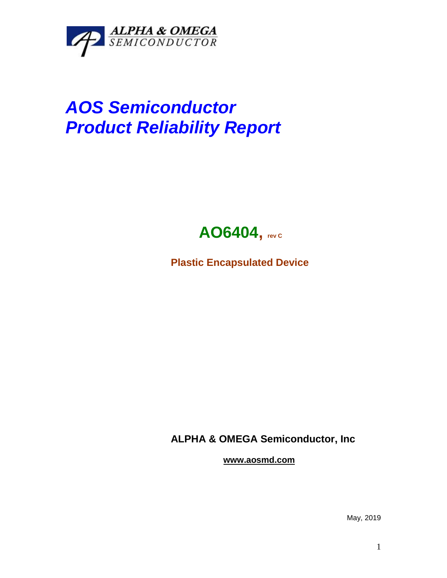

## *AOS Semiconductor Product Reliability Report*



**Plastic Encapsulated Device**

**ALPHA & OMEGA Semiconductor, Inc**

**www.aosmd.com**

May, 2019